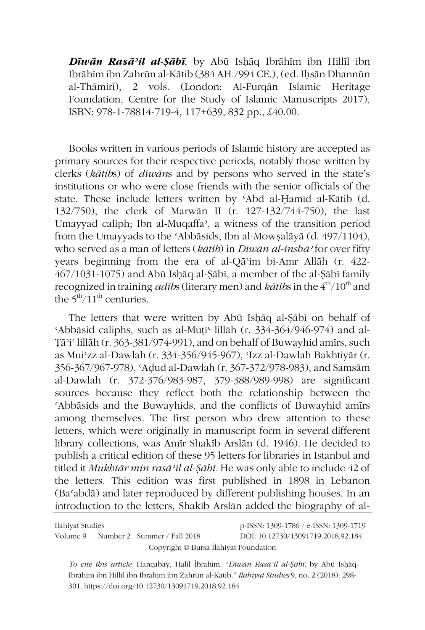*Dīwān Rasāʾil al-Ṣābī,* by Abū Isḥāq Ibrāhīm ibn Hillīl ibn Ibrāhīm ibn Zahrūn al-Kātib (384 AH./994 CE.), (ed. Ihsān Dhannūn al-Thāmirī), 2 vols. (London: Al-Furqān Islamic Heritage Foundation, Centre for the Study of Islamic Manuscripts 2017), ISBN: 978-1-78814-719-4, 117+639, 832 pp., £40.00.

Books written in various periods of Islamic history are accepted as primary sources for their respective periods, notably those written by clerks (*kātib*s) of *dīwān*s and by persons who served in the state's institutions or who were close friends with the senior officials of the state. These include letters written by ʿAbd al-Ḥamīd al-Kātib (d. 132/750), the clerk of Marwān II (r. 127-132/744-750), the last Umayyad caliph; Ibn al-Muqaffa<sup>2</sup>, a witness of the transition period from the Umayyads to the ʿAbbāsids; Ibn al-Mowṣalāyā (d. 497/1104), who served as a man of letters (*kātib*) in *Dīwān al-inshāʾ* for over fifty years beginning from the era of al-Qāʾim bi-Amr Allāh (r. 422- 467/1031-1075) and Abū Isḥāq al-Ṣābī, a member of the al-Ṣābī family recognized in training *adib*s (literary men) and *kātib*s in the 4<sup>th</sup>/10<sup>th</sup> and the  $5<sup>th</sup>/11<sup>th</sup>$  centuries.

The letters that were written by Abū Isḥāq al-Ṣābī on behalf of ʿAbbāsid caliphs, such as al-Muṭīʿ lillāh (r. 334-364/946-974) and al-Ṭāʾiʿ lillāh (r. 363-381/974-991), and on behalf of Buwayhid amīrs, such as Muiʿzz al-Dawlah (r. 334-356/945-967), ʿIzz al-Dawlah Bakhtiyār (r. 356-367/967-978), ʿAḍud al-Dawlah (r. 367-372/978-983), and Samsām al-Dawlah (r. 372-376/983-987, 379-388/989-998) are significant sources because they reflect both the relationship between the ʿAbbāsids and the Buwayhids, and the conflicts of Buwayhid amīrs among themselves. The first person who drew attention to these letters, which were originally in manuscript form in several different library collections, was Amīr Shakīb Arslān (d. 1946). He decided to publish a critical edition of these 95 letters for libraries in Istanbul and titled it *Mukhtār min rasāʾil al-Ṣābī.* He was only able to include 42 of the letters. This edition was first published in 1898 in Lebanon (Baʿabdā) and later reproduced by different publishing houses. In an introduction to the letters, Shakīb Arslān added the biography of al-

Ilahiyat Studies p-ISSN: 1309-1786 / e-ISSN: 1309-1719 Volume 9 Number 2 Summer / Fall 2018 DOI: 10.12730/13091719.2018.92.184 Copyright © Bursa İlahiyat Foundation

*To cite this article*: Hançabay, Halil İbrahim. "*Dīwān Rasāʾil al-Ṣābī*, by Abū Isḥāq Ibrāhīm ibn Hillīl ibn Ibrāhīm ibn Zahrūn al-Kātib." *Ilahiyat Studies* 9, no. 2 (2018): 298- 301. https://doi.org/10.12730/13091719.2018.92.184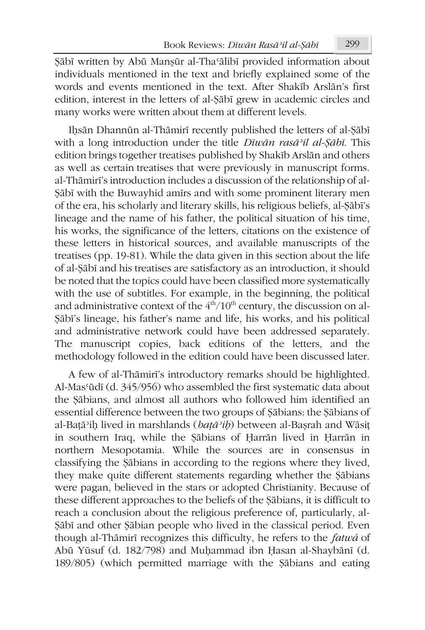Ṣābī written by Abū Manṣūr al-Thaʿālibī provided information about individuals mentioned in the text and briefly explained some of the words and events mentioned in the text. After Shakīb Arslān's first edition, interest in the letters of al-Ṣābī grew in academic circles and many works were written about them at different levels.

Iḥsān Dhannūn al-Thāmirī recently published the letters of al-Ṣābī with a long introduction under the title *Dīwān rasāʾil al-Ṣābī*. This edition brings together treatises published by Shakīb Arslān and others as well as certain treatises that were previously in manuscript forms. al-Thāmirī's introduction includes a discussion of the relationship of al-Ṣābī with the Buwayhid amīrs and with some prominent literary men of the era, his scholarly and literary skills, his religious beliefs, al-Ṣābī's lineage and the name of his father, the political situation of his time, his works, the significance of the letters, citations on the existence of these letters in historical sources, and available manuscripts of the treatises (pp. 19-81). While the data given in this section about the life of al-Ṣābī and his treatises are satisfactory as an introduction, it should be noted that the topics could have been classified more systematically with the use of subtitles. For example, in the beginning, the political and administrative context of the  $4<sup>th</sup>/10<sup>th</sup>$  century, the discussion on al-Ṣābī's lineage, his father's name and life, his works, and his political and administrative network could have been addressed separately. The manuscript copies, back editions of the letters, and the methodology followed in the edition could have been discussed later.

A few of al-Thāmirī's introductory remarks should be highlighted. Al-Masʿūdī (d. 345/956) who assembled the first systematic data about the Ṣābians, and almost all authors who followed him identified an essential difference between the two groups of Ṣābians: the Ṣābians of al-Baṭāʾiḥ lived in marshlands (*baṭāʾiḥ*) between al-Baṣrah and Wāsiṭ in southern Iraq, while the Ṣābians of Ḥarrān lived in Ḥarrān in northern Mesopotamia. While the sources are in consensus in classifying the Ṣābians in according to the regions where they lived, they make quite different statements regarding whether the Ṣābians were pagan, believed in the stars or adopted Christianity. Because of these different approaches to the beliefs of the Ṣābians, it is difficult to reach a conclusion about the religious preference of, particularly, al-Ṣābī and other Ṣābian people who lived in the classical period. Even though al-Thāmirī recognizes this difficulty, he refers to the *fatwá* of Abū Yūsuf (d. 182/798) and Muḥammad ibn Ḥasan al-Shaybānī (d. 189/805) (which permitted marriage with the Ṣābians and eating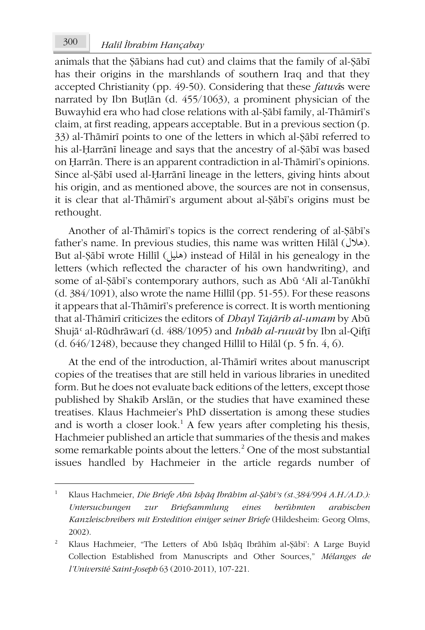## *Halil İbrahim Hançabay* 300

animals that the Ṣābians had cut) and claims that the family of al-Ṣābī has their origins in the marshlands of southern Iraq and that they accepted Christianity (pp. 49-50). Considering that these *fatwá*s were narrated by Ibn Buṭlān (d. 455/1063), a prominent physician of the Buwayhid era who had close relations with al-Ṣābī family, al-Thāmirī's claim, at first reading, appears acceptable. But in a previous section (p. 33) al-Thāmirī points to one of the letters in which al-Ṣābī referred to his al-Ḥarrānī lineage and says that the ancestry of al-Ṣābī was based on Ḥarrān. There is an apparent contradiction in al-Thāmirī's opinions. Since al-Ṣābī used al-Ḥarrānī lineage in the letters, giving hints about his origin, and as mentioned above, the sources are not in consensus, it is clear that al-Thāmirī's argument about al-Ṣābī's origins must be rethought.

Another of al-Thāmirī's topics is the correct rendering of al-Ṣābī's father's name. In previous studies, this name was written Hilāl (هلال(. But al-Ṣābī wrote Hillīl (هليل) instead of Hilāl in his genealogy in the letters (which reflected the character of his own handwriting), and some of al-Ṣābī's contemporary authors, such as Abū ʿAlī al-Tanūkhī (d. 384/1091), also wrote the name Hillīl (pp. 51-55). For these reasons it appears that al-Thāmirī's preference is correct. It is worth mentioning that al-Thāmirī criticizes the editors of *Dhayl Tajārib al-umam* by Abū Shujāʿ al-Rūdhrāwarī (d. 488/1095) and *Inbāh al-ruwāt* by Ibn al-Qifṭī (d. 646/1248), because they changed Hillīl to Hilāl (p. 5 fn. 4, 6).

At the end of the introduction, al-Thāmirī writes about manuscript copies of the treatises that are still held in various libraries in unedited form. But he does not evaluate back editions of the letters, except those published by Shakīb Arslān, or the studies that have examined these treatises. Klaus Hachmeier's PhD dissertation is among these studies and is worth a closer look.<sup>1</sup> A few years after completing his thesis, Hachmeier published an article that summaries of the thesis and makes some remarkable points about the letters.<sup>2</sup> One of the most substantial issues handled by Hachmeier in the article regards number of

<sup>1</sup> Klaus Hachmeier, *Die Briefe Abū Isḥāq Ibrāhīm al-Ṣābīʾs (st.384/994 A.H./A.D.): Untersuchungen zur Briefsammlung eines berühmten arabischen Kanzleischreibers mit Erstedition einiger seiner Briefe* (Hildesheim: Georg Olms, 2002).

<sup>2</sup> Klaus Hachmeier, "The Letters of Abū Isḥāq Ibrāhīm al‑Ṣābi': A Large Buyid Collection Established from Manuscripts and Other Sources," *Mélanges de l'Université Saint-Joseph* 63 (2010-2011), 107-221.